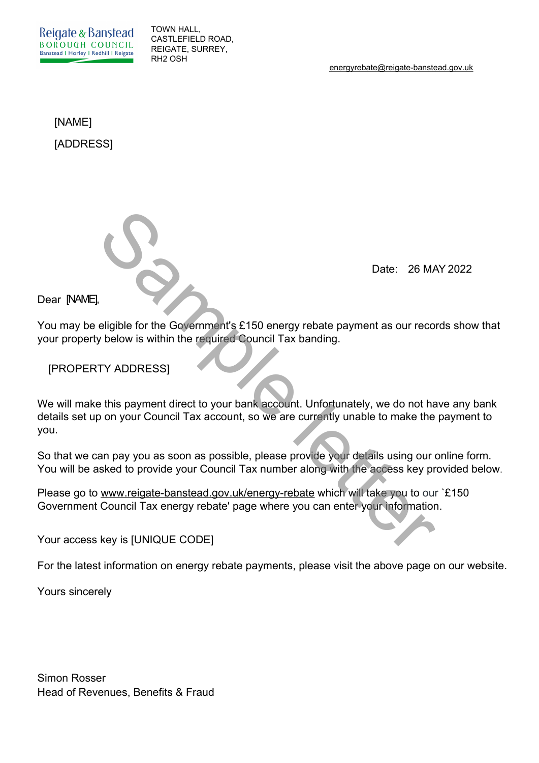Reigate & Banstead **BOROUGH COUNCIL** Banstead I Horley I Redhill I Reigate

TOWN HALL, CASTLEFIELD ROAD, REIGATE, SURREY, RH2 OSH

energyrebate@reigate-banstead.gov.uk

[NAME] [ADDRESS]

Date: 26 MAY 2022

Dear [NAME],

You may be eligible for the Government's £150 energy rebate payment as our records show that your property below is within the required Council Tax banding.

[PROPERTY ADDRESS]

We will make this payment direct to your bank account. Unfortunately, we do not have any bank details set up on your Council Tax account, so we are currently unable to make the payment to you. Date: 26 MM<br>
Leligible for the Government's £150 energy rebate payment as our reco<br>
y below is within the required Council Tax banding.<br>
TY ADDRESS]<br>
E this payment direct to your bank account. Unfortunately, we do not ha<br>

So that we can pay you as soon as possible, please provide your details using our online form. You will be asked to provide your Council Tax number along with the access key provided below.

Please go to www.reigate-banstead.gov.uk/energy-rebate which will take you to our `£150 Government Council Tax energy rebate' page where you can enter your information.

Your access key is [UNIQUE CODE]

For the latest information on energy rebate payments, please visit the above page on our website.

Yours sincerely

Simon Rosser Head of Revenues, Benefits & Fraud